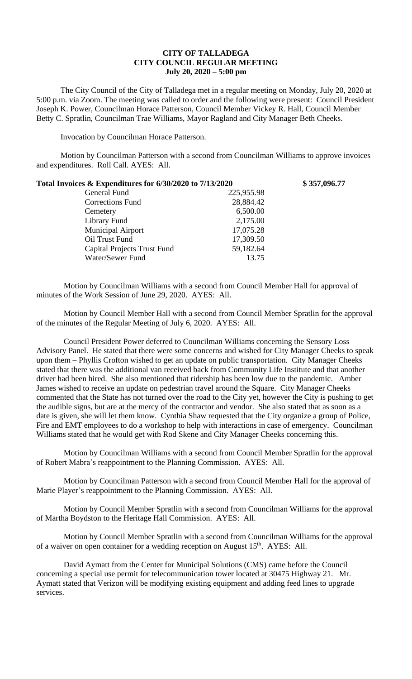## **CITY OF TALLADEGA CITY COUNCIL REGULAR MEETING July 20, 2020 – 5:00 pm**

The City Council of the City of Talladega met in a regular meeting on Monday, July 20, 2020 at 5:00 p.m. via Zoom. The meeting was called to order and the following were present: Council President Joseph K. Power, Councilman Horace Patterson, Council Member Vickey R. Hall, Council Member Betty C. Spratlin, Councilman Trae Williams, Mayor Ragland and City Manager Beth Cheeks.

Invocation by Councilman Horace Patterson.

Motion by Councilman Patterson with a second from Councilman Williams to approve invoices and expenditures. Roll Call. AYES: All.

| Total Invoices & Expenditures for 6/30/2020 to 7/13/2020 |            | \$357,096.77 |
|----------------------------------------------------------|------------|--------------|
| General Fund                                             | 225,955.98 |              |
| <b>Corrections Fund</b>                                  | 28,884.42  |              |
| Cemetery                                                 | 6,500.00   |              |
| Library Fund                                             | 2,175.00   |              |
| <b>Municipal Airport</b>                                 | 17,075.28  |              |
| Oil Trust Fund                                           | 17,309.50  |              |
| <b>Capital Projects Trust Fund</b>                       | 59,182.64  |              |
| Water/Sewer Fund                                         | 13.75      |              |

Motion by Councilman Williams with a second from Council Member Hall for approval of minutes of the Work Session of June 29, 2020. AYES: All.

Motion by Council Member Hall with a second from Council Member Spratlin for the approval of the minutes of the Regular Meeting of July 6, 2020. AYES: All.

Council President Power deferred to Councilman Williams concerning the Sensory Loss Advisory Panel. He stated that there were some concerns and wished for City Manager Cheeks to speak upon them – Phyllis Crofton wished to get an update on public transportation. City Manager Cheeks stated that there was the additional van received back from Community Life Institute and that another driver had been hired. She also mentioned that ridership has been low due to the pandemic. Amber James wished to receive an update on pedestrian travel around the Square. City Manager Cheeks commented that the State has not turned over the road to the City yet, however the City is pushing to get the audible signs, but are at the mercy of the contractor and vendor. She also stated that as soon as a date is given, she will let them know. Cynthia Shaw requested that the City organize a group of Police, Fire and EMT employees to do a workshop to help with interactions in case of emergency. Councilman Williams stated that he would get with Rod Skene and City Manager Cheeks concerning this.

Motion by Councilman Williams with a second from Council Member Spratlin for the approval of Robert Mabra's reappointment to the Planning Commission. AYES: All.

Motion by Councilman Patterson with a second from Council Member Hall for the approval of Marie Player's reappointment to the Planning Commission. AYES: All.

Motion by Council Member Spratlin with a second from Councilman Williams for the approval of Martha Boydston to the Heritage Hall Commission. AYES: All.

Motion by Council Member Spratlin with a second from Councilman Williams for the approval of a waiver on open container for a wedding reception on August 15<sup>th</sup>. AYES: All.

David Aymatt from the Center for Municipal Solutions (CMS) came before the Council concerning a special use permit for telecommunication tower located at 30475 Highway 21. Mr. Aymatt stated that Verizon will be modifying existing equipment and adding feed lines to upgrade services.